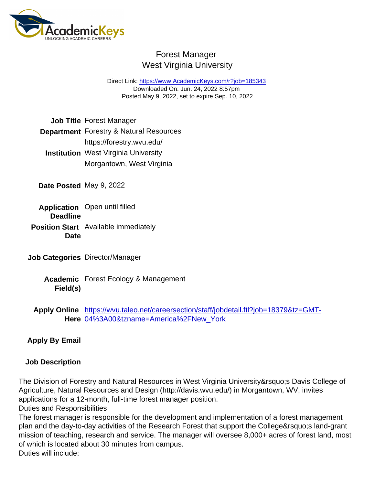## Forest Manager West Virginia University

Direct Link: <https://www.AcademicKeys.com/r?job=185343> Downloaded On: Jun. 24, 2022 8:57pm Posted May 9, 2022, set to expire Sep. 10, 2022

Job Title Forest Manager

Department Forestry & Natural Resources

- https://forestry.wvu.edu/ Institution West Virginia University Morgantown, West Virginia
- Date Posted May 9, 2022
- Application **Deadline** Open until filled Position Start Date Available immediately
- Job Categories Director/Manager
	- Academic Forest Ecology & Management Field(s)
	- Apply Online Here [04%3A00&tzname=America%2FNew\\_York](https://wvu.taleo.net/careersection/staff/jobdetail.ftl?job=18379&tz=GMT-04:00&tzname=America/New_York) [https://wvu.taleo.net/careersection/staff/jobdetail.ftl?job=18379&tz=GMT-](https://wvu.taleo.net/careersection/staff/jobdetail.ftl?job=18379&tz=GMT-04:00&tzname=America/New_York)

Apply By Email

Job Description

The Division of Forestry and Natural Resources in West Virginia University' Davis College of Agriculture, Natural Resources and Design (http://davis.wvu.edu/) in Morgantown, WV, invites applications for a 12-month, full-time forest manager position.

Duties and Responsibilities

The forest manager is responsible for the development and implementation of a forest management plan and the day-to-day activities of the Research Forest that support the College' sland-grant mission of teaching, research and service. The manager will oversee 8,000+ acres of forest land, most of which is located about 30 minutes from campus. Duties will include: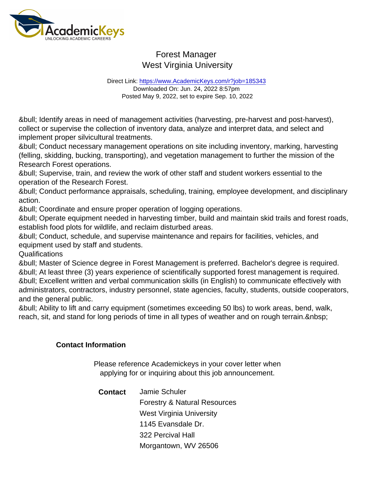## Forest Manager West Virginia University

Direct Link: <https://www.AcademicKeys.com/r?job=185343> Downloaded On: Jun. 24, 2022 8:57pm Posted May 9, 2022, set to expire Sep. 10, 2022

• Identify areas in need of management activities (harvesting, pre-harvest and post-harvest), collect or supervise the collection of inventory data, analyze and interpret data, and select and implement proper silvicultural treatments.

• Conduct necessary management operations on site including inventory, marking, harvesting (felling, skidding, bucking, transporting), and vegetation management to further the mission of the Research Forest operations.

• Supervise, train, and review the work of other staff and student workers essential to the operation of the Research Forest.

• Conduct performance appraisals, scheduling, training, employee development, and disciplinary action.

• Coordinate and ensure proper operation of logging operations.

• Operate equipment needed in harvesting timber, build and maintain skid trails and forest roads, establish food plots for wildlife, and reclaim disturbed areas.

• Conduct, schedule, and supervise maintenance and repairs for facilities, vehicles, and equipment used by staff and students.

Qualifications

• Master of Science degree in Forest Management is preferred. Bachelor's degree is required. • At least three (3) years experience of scientifically supported forest management is required. • Excellent written and verbal communication skills (in English) to communicate effectively with administrators, contractors, industry personnel, state agencies, faculty, students, outside cooperators, and the general public.

• Ability to lift and carry equipment (sometimes exceeding 50 lbs) to work areas, bend, walk, reach, sit, and stand for long periods of time in all types of weather and on rough terrain. & nbsp;

Contact Information

Please reference Academickeys in your cover letter when applying for or inquiring about this job announcement.

Contact Jamie Schuler Forestry & Natural Resources West Virginia University 1145 Evansdale Dr. 322 Percival Hall Morgantown, WV 26506